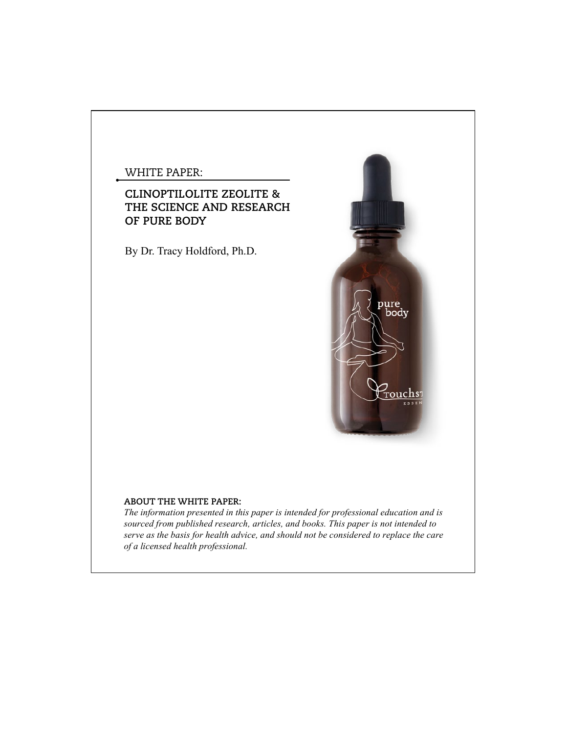## WHITE PAPER:

# **CLINOPTILOLITE ZEOLITE & THE SCIENCE AND RESEARCH OF PURE BODY**

By Dr. Tracy Holdford, Ph.D.



## **ABOUT THE WHITE PAPER:**

*The information presented in this paper is intended for professional education and is sourced from published research, articles, and books. This paper is not intended to serve as the basis for health advice, and should not be considered to replace the care of a licensed health professional.*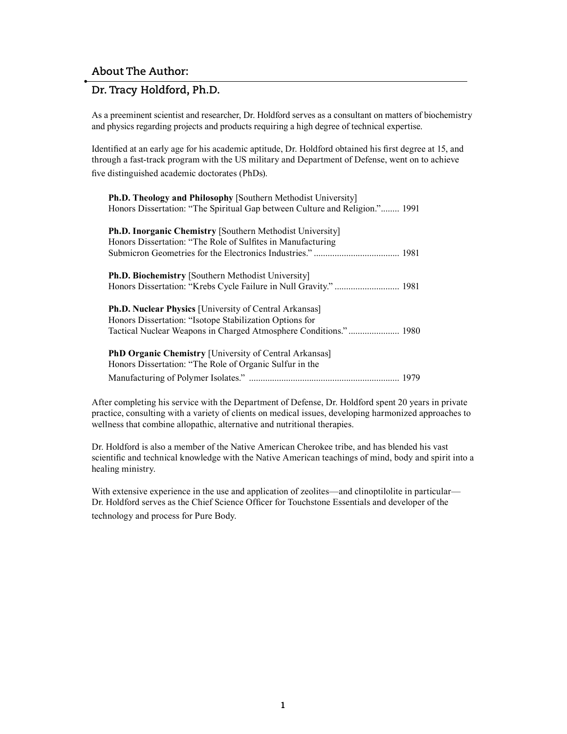## **Dr. Tracy Holdford, Ph.D.**

As a preeminent scientist and researcher, Dr. Holdford serves as a consultant on matters of biochemistry and physics regarding projects and products requiring a high degree of technical expertise.

Identified at an early age for his academic aptitude, Dr. Holdford obtained his first degree at 15, and through a fast-track program with the US military and Department of Defense, went on to achieve five distinguished academic doctorates (PhDs).

**Ph.D. Theology and Philosophy** [Southern Methodist University] Honors Dissertation: "The Spiritual Gap between Culture and Religion."........ 1991

| <b>Ph.D. Inorganic Chemistry [Southern Methodist University]</b><br>Honors Dissertation: "The Role of Sulfites in Manufacturing |  |
|---------------------------------------------------------------------------------------------------------------------------------|--|
| Ph.D. Biochemistry [Southern Methodist University]                                                                              |  |
| <b>Ph.D. Nuclear Physics</b> [University of Central Arkansas]<br>Honors Dissertation: "Isotope Stabilization Options for        |  |
| <b>PhD Organic Chemistry [University of Central Arkansas]</b><br>Honors Dissertation: "The Role of Organic Sulfur in the        |  |
|                                                                                                                                 |  |

After completing his service with the Department of Defense, Dr. Holdford spent 20 years in private practice, consulting with a variety of clients on medical issues, developing harmonized approaches to wellness that combine allopathic, alternative and nutritional therapies.

Dr. Holdford is also a member of the Native American Cherokee tribe, and has blended his vast scientific and technical knowledge with the Native American teachings of mind, body and spirit into a healing ministry.

With extensive experience in the use and application of zeolites—and clinoptilolite in particular— Dr. Holdford serves as the Chief Science Officer for Touchstone Essentials and developer of the technology and process for Pure Body.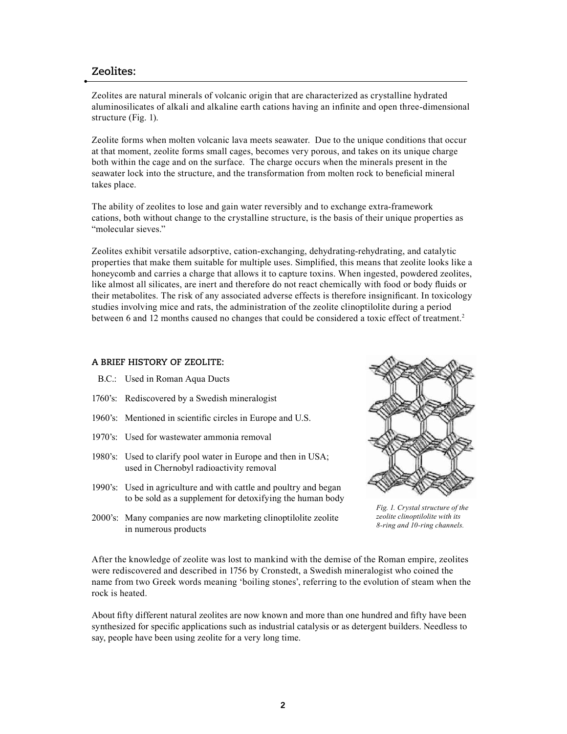## **Zeolites:**

Zeolites are natural minerals of volcanic origin that are characterized as crystalline hydrated aluminosilicates of alkali and alkaline earth cations having an infinite and open three-dimensional structure (Fig. 1).

Zeolite forms when molten volcanic lava meets seawater. Due to the unique conditions that occur at that moment, zeolite forms small cages, becomes very porous, and takes on its unique charge both within the cage and on the surface. The charge occurs when the minerals present in the seawater lock into the structure, and the transformation from molten rock to beneficial mineral takes place.

The ability of zeolites to lose and gain water reversibly and to exchange extra-framework cations, both without change to the crystalline structure, is the basis of their unique properties as "molecular sieves."

Zeolites exhibit versatile adsorptive, cation-exchanging, dehydrating-rehydrating, and catalytic properties that make them suitable for multiple uses. Simplified, this means that zeolite looks like a honeycomb and carries a charge that allows it to capture toxins. When ingested, powdered zeolites, like almost all silicates, are inert and therefore do not react chemically with food or body fluids or their metabolites. The risk of any associated adverse effects is therefore insignificant. In toxicology studies involving mice and rats, the administration of the zeolite clinoptilolite during a period between 6 and 12 months caused no changes that could be considered a toxic effect of treatment.<sup>2</sup>

### **A BRIEF HISTORY OF ZEOLITE:**

- B.C.: Used in Roman Aqua Ducts
- 1760's: Rediscovered by a Swedish mineralogist
- 1960's: Mentioned in scientific circles in Europe and U.S.
- 1970's: Used for wastewater ammonia removal
- 1980's: Used to clarify pool water in Europe and then in USA; used in Chernobyl radioactivity removal
- 1990's: Used in agriculture and with cattle and poultry and began to be sold as a supplement for detoxifying the human body
- 2000's: Many companies are now marketing clinoptilolite zeolite in numerous products



*Fig. 1. Crystal structure of the zeolite clinoptilolite with its 8-ring and 10-ring channels.*

After the knowledge of zeolite was lost to mankind with the demise of the Roman empire, zeolites were rediscovered and described in 1756 by Cronstedt, a Swedish mineralogist who coined the name from two Greek words meaning 'boiling stones', referring to the evolution of steam when the rock is heated.

About fifty different natural zeolites are now known and more than one hundred and fifty have been synthesized for specific applications such as industrial catalysis or as detergent builders. Needless to say, people have been using zeolite for a very long time.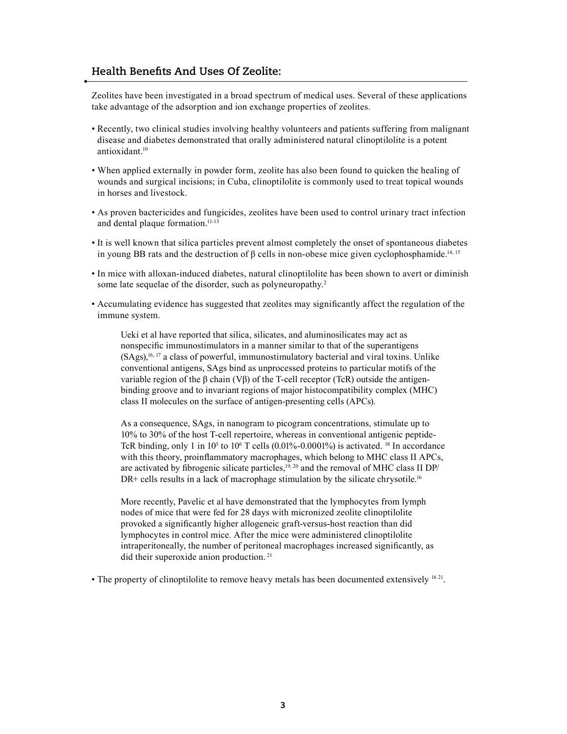# **Health Benefits And Uses Of Zeolite:**

Zeolites have been investigated in a broad spectrum of medical uses. Several of these applications take advantage of the adsorption and ion exchange properties of zeolites.

- Recently, two clinical studies involving healthy volunteers and patients suffering from malignant disease and diabetes demonstrated that orally administered natural clinoptilolite is a potent antioxidant.<sup>10</sup>
- When applied externally in powder form, zeolite has also been found to quicken the healing of wounds and surgical incisions; in Cuba, clinoptilolite is commonly used to treat topical wounds in horses and livestock.
- As proven bactericides and fungicides, zeolites have been used to control urinary tract infection and dental plaque formation.<sup>11-13</sup>
- It is well known that silica particles prevent almost completely the onset of spontaneous diabetes in young BB rats and the destruction of  $\beta$  cells in non-obese mice given cyclophosphamide.<sup>14, 15</sup>
- In mice with alloxan-induced diabetes, natural clinoptilolite has been shown to avert or diminish some late sequelae of the disorder, such as polyneuropathy.<sup>2</sup>
- Accumulating evidence has suggested that zeolites may significantly affect the regulation of the immune system.

Ueki et al have reported that silica, silicates, and aluminosilicates may act as nonspecific immunostimulators in a manner similar to that of the superantigens  $(SAgs)$ ,<sup>16, 17</sup> a class of powerful, immunostimulatory bacterial and viral toxins. Unlike conventional antigens, SAgs bind as unprocessed proteins to particular motifs of the variable region of the β chain (Vβ) of the T-cell receptor (TcR) outside the antigenbinding groove and to invariant regions of major histocompatibility complex (MHC) class II molecules on the surface of antigen-presenting cells (APCs).

As a consequence, SAgs, in nanogram to picogram concentrations, stimulate up to 10% to 30% of the host T-cell repertoire, whereas in conventional antigenic peptide-TcR binding, only 1 in  $10<sup>5</sup>$  to  $10<sup>6</sup>$  T cells (0.01%-0.0001%) is activated. <sup>18</sup> In accordance with this theory, proinflammatory macrophages, which belong to MHC class II APCs, are activated by fibrogenic silicate particles,<sup>19, 20</sup> and the removal of MHC class II DP/ DR+ cells results in a lack of macrophage stimulation by the silicate chrysotile.<sup>16</sup>

More recently, Pavelic et al have demonstrated that the lymphocytes from lymph nodes of mice that were fed for 28 days with micronized zeolite clinoptilolite provoked a significantly higher allogeneic graft-versus-host reaction than did lymphocytes in control mice. After the mice were administered clinoptilolite intraperitoneally, the number of peritoneal macrophages increased significantly, as did their superoxide anion production.<sup>21</sup>

• The property of clinoptilolite to remove heavy metals has been documented extensively  $1621$ .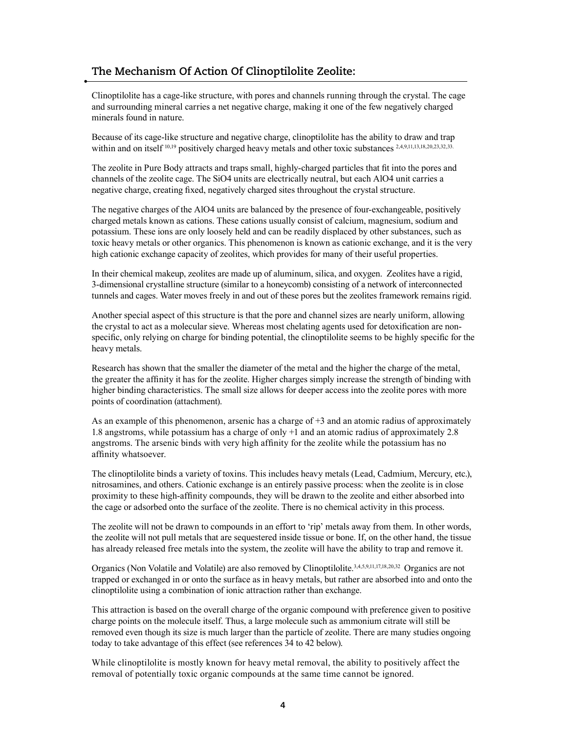# **The Mechanism Of Action Of Clinoptilolite Zeolite:**

Clinoptilolite has a cage-like structure, with pores and channels running through the crystal. The cage and surrounding mineral carries a net negative charge, making it one of the few negatively charged minerals found in nature.

Because of its cage-like structure and negative charge, clinoptilolite has the ability to draw and trap within and on itself <sup>10,19</sup> positively charged heavy metals and other toxic substances <sup>2,4,9,11,13,18,20,23,32,33</sup>.

The zeolite in Pure Body attracts and traps small, highly-charged particles that fit into the pores and channels of the zeolite cage. The SiO4 units are electrically neutral, but each AlO4 unit carries a negative charge, creating fixed, negatively charged sites throughout the crystal structure.

The negative charges of the AlO4 units are balanced by the presence of four-exchangeable, positively charged metals known as cations. These cations usually consist of calcium, magnesium, sodium and potassium. These ions are only loosely held and can be readily displaced by other substances, such as toxic heavy metals or other organics. This phenomenon is known as cationic exchange, and it is the very high cationic exchange capacity of zeolites, which provides for many of their useful properties.

In their chemical makeup, zeolites are made up of aluminum, silica, and oxygen. Zeolites have a rigid, 3-dimensional crystalline structure (similar to a honeycomb) consisting of a network of interconnected tunnels and cages. Water moves freely in and out of these pores but the zeolites framework remains rigid.

Another special aspect of this structure is that the pore and channel sizes are nearly uniform, allowing the crystal to act as a molecular sieve. Whereas most chelating agents used for detoxification are nonspecific, only relying on charge for binding potential, the clinoptilolite seems to be highly specific for the heavy metals.

Research has shown that the smaller the diameter of the metal and the higher the charge of the metal, the greater the affinity it has for the zeolite. Higher charges simply increase the strength of binding with higher binding characteristics. The small size allows for deeper access into the zeolite pores with more points of coordination (attachment).

As an example of this phenomenon, arsenic has a charge of  $+3$  and an atomic radius of approximately 1.8 angstroms, while potassium has a charge of only +1 and an atomic radius of approximately 2.8 angstroms. The arsenic binds with very high affinity for the zeolite while the potassium has no affinity whatsoever.

The clinoptilolite binds a variety of toxins. This includes heavy metals (Lead, Cadmium, Mercury, etc.), nitrosamines, and others. Cationic exchange is an entirely passive process: when the zeolite is in close proximity to these high-affinity compounds, they will be drawn to the zeolite and either absorbed into the cage or adsorbed onto the surface of the zeolite. There is no chemical activity in this process.

The zeolite will not be drawn to compounds in an effort to 'rip' metals away from them. In other words, the zeolite will not pull metals that are sequestered inside tissue or bone. If, on the other hand, the tissue has already released free metals into the system, the zeolite will have the ability to trap and remove it.

Organics (Non Volatile and Volatile) are also removed by Clinoptilolite.3,4,5,9,11,17,18,20,32 Organics are not trapped or exchanged in or onto the surface as in heavy metals, but rather are absorbed into and onto the clinoptilolite using a combination of ionic attraction rather than exchange.

This attraction is based on the overall charge of the organic compound with preference given to positive charge points on the molecule itself. Thus, a large molecule such as ammonium citrate will still be removed even though its size is much larger than the particle of zeolite. There are many studies ongoing today to take advantage of this effect (see references 34 to 42 below).

While clinoptilolite is mostly known for heavy metal removal, the ability to positively affect the removal of potentially toxic organic compounds at the same time cannot be ignored.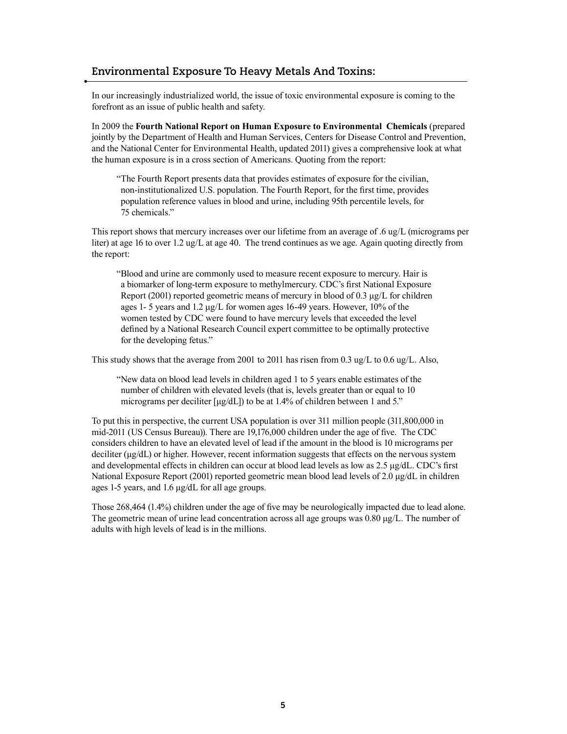## **Environmental Exposure To Heavy Metals And Toxins:**

In our increasingly industrialized world, the issue of toxic environmental exposure is coming to the forefront as an issue of public health and safety.

In 2009 the **Fourth National Report on Human Exposure to Environmental Chemicals** (prepared jointly by the Department of Health and Human Services, Centers for Disease Control and Prevention, and the National Center for Environmental Health, updated 2011) gives a comprehensive look at what the human exposure is in a cross section of Americans. Quoting from the report:

"The Fourth Report presents data that provides estimates of exposure for the civilian, non-institutionalized U.S. population. The Fourth Report, for the first time, provides population reference values in blood and urine, including 95th percentile levels, for 75 chemicals."

This report shows that mercury increases over our lifetime from an average of .6 ug/L (micrograms per liter) at age 16 to over 1.2 ug/L at age 40. The trend continues as we age. Again quoting directly from the report:

"Blood and urine are commonly used to measure recent exposure to mercury. Hair is a biomarker of long-term exposure to methylmercury. CDC's first National Exposure Report (2001) reported geometric means of mercury in blood of 0.3 μg/L for children ages 1- 5 years and 1.2 μg/L for women ages 16-49 years. However, 10% of the women tested by CDC were found to have mercury levels that exceeded the level defined by a National Research Council expert committee to be optimally protective for the developing fetus."

This study shows that the average from 2001 to 2011 has risen from 0.3 ug/L to 0.6 ug/L. Also,

"New data on blood lead levels in children aged 1 to 5 years enable estimates of the number of children with elevated levels (that is, levels greater than or equal to 10 micrograms per deciliter [μg/dL]) to be at 1.4% of children between 1 and 5."

To put this in perspective, the current USA population is over 311 million people (311,800,000 in mid-2011 (US Census Bureau)). There are 19,176,000 children under the age of five. The CDC considers children to have an elevated level of lead if the amount in the blood is 10 micrograms per deciliter (μg/dL) or higher. However, recent information suggests that effects on the nervous system and developmental effects in children can occur at blood lead levels as low as 2.5 μg/dL. CDC's first National Exposure Report (2001) reported geometric mean blood lead levels of 2.0 μg/dL in children ages 1-5 years, and 1.6 μg/dL for all age groups.

Those 268,464 (1.4%) children under the age of five may be neurologically impacted due to lead alone. The geometric mean of urine lead concentration across all age groups was 0.80 μg/L. The number of adults with high levels of lead is in the millions.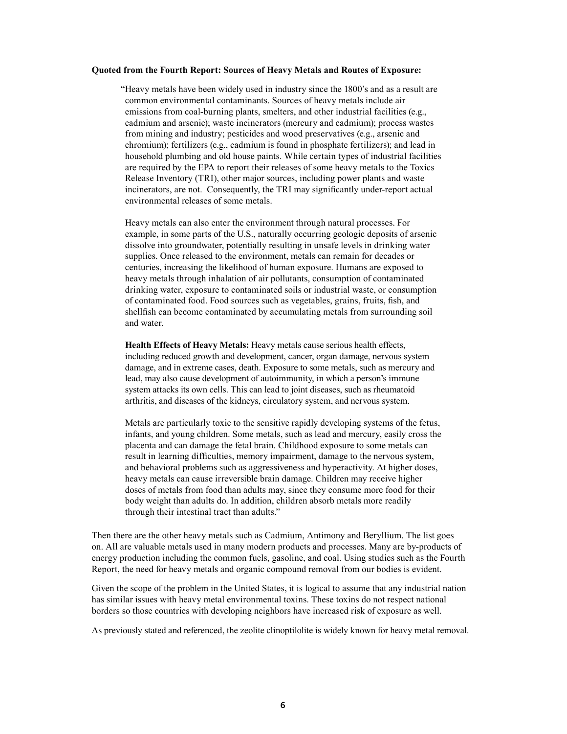#### **Quoted from the Fourth Report: Sources of Heavy Metals and Routes of Exposure:**

"Heavy metals have been widely used in industry since the 1800's and as a result are common environmental contaminants. Sources of heavy metals include air emissions from coal-burning plants, smelters, and other industrial facilities (e.g., cadmium and arsenic); waste incinerators (mercury and cadmium); process wastes from mining and industry; pesticides and wood preservatives (e.g., arsenic and chromium); fertilizers (e.g., cadmium is found in phosphate fertilizers); and lead in household plumbing and old house paints. While certain types of industrial facilities are required by the EPA to report their releases of some heavy metals to the Toxics Release Inventory (TRI), other major sources, including power plants and waste incinerators, are not. Consequently, the TRI may significantly under-report actual environmental releases of some metals.

Heavy metals can also enter the environment through natural processes. For example, in some parts of the U.S., naturally occurring geologic deposits of arsenic dissolve into groundwater, potentially resulting in unsafe levels in drinking water supplies. Once released to the environment, metals can remain for decades or centuries, increasing the likelihood of human exposure. Humans are exposed to heavy metals through inhalation of air pollutants, consumption of contaminated drinking water, exposure to contaminated soils or industrial waste, or consumption of contaminated food. Food sources such as vegetables, grains, fruits, fish, and shellfish can become contaminated by accumulating metals from surrounding soil and water.

**Health Effects of Heavy Metals:** Heavy metals cause serious health effects, including reduced growth and development, cancer, organ damage, nervous system damage, and in extreme cases, death. Exposure to some metals, such as mercury and lead, may also cause development of autoimmunity, in which a person's immune system attacks its own cells. This can lead to joint diseases, such as rheumatoid arthritis, and diseases of the kidneys, circulatory system, and nervous system.

Metals are particularly toxic to the sensitive rapidly developing systems of the fetus, infants, and young children. Some metals, such as lead and mercury, easily cross the placenta and can damage the fetal brain. Childhood exposure to some metals can result in learning difficulties, memory impairment, damage to the nervous system, and behavioral problems such as aggressiveness and hyperactivity. At higher doses, heavy metals can cause irreversible brain damage. Children may receive higher doses of metals from food than adults may, since they consume more food for their body weight than adults do. In addition, children absorb metals more readily through their intestinal tract than adults."

Then there are the other heavy metals such as Cadmium, Antimony and Beryllium. The list goes on. All are valuable metals used in many modern products and processes. Many are by-products of energy production including the common fuels, gasoline, and coal. Using studies such as the Fourth Report, the need for heavy metals and organic compound removal from our bodies is evident.

Given the scope of the problem in the United States, it is logical to assume that any industrial nation has similar issues with heavy metal environmental toxins. These toxins do not respect national borders so those countries with developing neighbors have increased risk of exposure as well.

As previously stated and referenced, the zeolite clinoptilolite is widely known for heavy metal removal.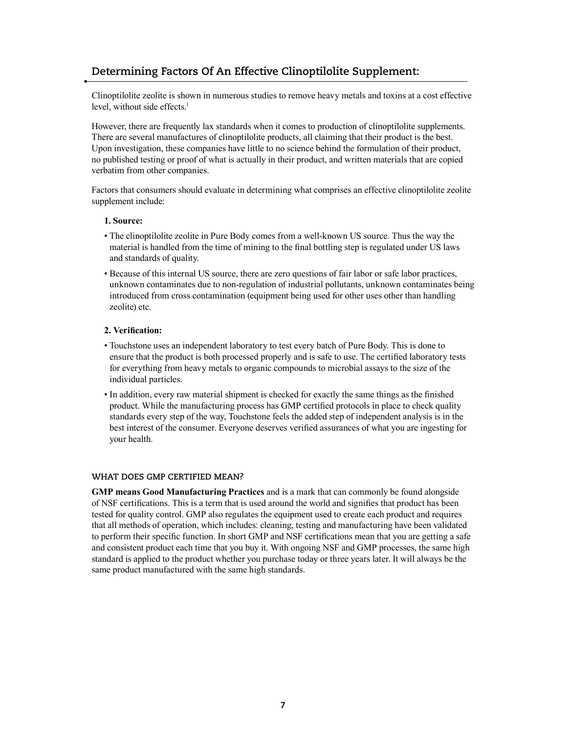# **Determining Factors Of An Effective Clinoptilolite Supplement:**

Clinoptilolite zeolite is shown in numerous studies to remove heavy metals and toxins at a cost effective level, without side effects.<sup>1</sup>

However, there are frequently lax standards when it comes to production of clinoptilolite supplements. There are several manufactures of clinoptilolite products, all claiming that their product is the best. Upon investigation, these companies have little to no science behind the formulation of their product, no published testing or proof of what is actually in their product, and written materials that are copied verbatim from other companies.

Factors that consumers should evaluate in determining what comprises an effective clinoptilolite zeolite supplement include:

### **1. Source:**

- The clinoptilolite zeolite in Pure Body comes from a well-known US source. Thus the way the material is handled from the time of mining to the final bottling step is regulated under US laws and standards of quality.
- Because of this internal US source, there are zero questions of fair labor or safe labor practices, unknown contaminates due to non-regulation of industrial pollutants, unknown contaminates being introduced from cross contamination (equipment being used for other uses other than handling zeolite) etc.

### **2. Verification:**

- Touchstone uses an independent laboratory to test every batch of Pure Body. This is done to ensure that the product is both processed properly and is safe to use. The certified laboratory tests for everything from heavy metals to organic compounds to microbial assays to the size of the individual particles.
- In addition, every raw material shipment is checked for exactly the same things as the finished product. While the manufacturing process has GMP certified protocols in place to check quality standards every step of the way, Touchstone feels the added step of independent analysis is in the best interest of the consumer. Everyone deserves verified assurances of what you are ingesting for your health.

### **WHAT DOES GMP CERTIFIED MEAN?**

**GMP means Good Manufacturing Practices** and is a mark that can commonly be found alongside of NSF certifications. This is a term that is used around the world and signifies that product has been tested for quality control. GMP also regulates the equipment used to create each product and requires that all methods of operation, which includes: cleaning, testing and manufacturing have been validated to perform their specific function. In short GMP and NSF certifications mean that you are getting a safe and consistent product each time that you buy it. With ongoing NSF and GMP processes, the same high standard is applied to the product whether you purchase today or three years later. It will always be the same product manufactured with the same high standards.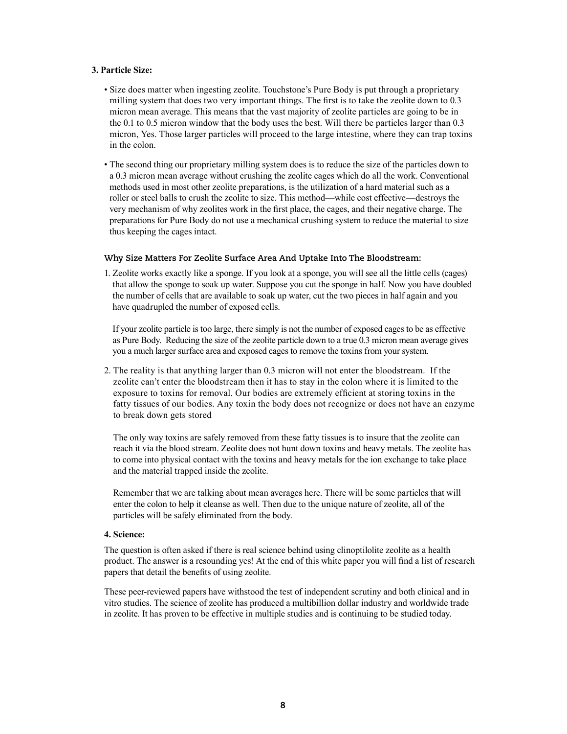### **3. Particle Size:**

- Size does matter when ingesting zeolite. Touchstone's Pure Body is put through a proprietary milling system that does two very important things. The first is to take the zeolite down to 0.3 micron mean average. This means that the vast majority of zeolite particles are going to be in the 0.1 to 0.5 micron window that the body uses the best. Will there be particles larger than 0.3 micron, Yes. Those larger particles will proceed to the large intestine, where they can trap toxins in the colon.
- The second thing our proprietary milling system does is to reduce the size of the particles down to a 0.3 micron mean average without crushing the zeolite cages which do all the work. Conventional methods used in most other zeolite preparations, is the utilization of a hard material such as a roller or steel balls to crush the zeolite to size. This method—while cost effective—destroys the very mechanism of why zeolites work in the first place, the cages, and their negative charge. The preparations for Pure Body do not use a mechanical crushing system to reduce the material to size thus keeping the cages intact.

#### **Why Size Matters For Zeolite Surface Area And Uptake Into The Bloodstream:**

1. Zeolite works exactly like a sponge. If you look at a sponge, you will see all the little cells (cages) that allow the sponge to soak up water. Suppose you cut the sponge in half. Now you have doubled the number of cells that are available to soak up water, cut the two pieces in half again and you have quadrupled the number of exposed cells.

If your zeolite particle is too large, there simply is not the number of exposed cages to be as effective as Pure Body. Reducing the size of the zeolite particle down to a true 0.3 micron mean average gives you a much larger surface area and exposed cages to remove the toxins from your system.

2. The reality is that anything larger than 0.3 micron will not enter the bloodstream. If the zeolite can't enter the bloodstream then it has to stay in the colon where it is limited to the exposure to toxins for removal. Our bodies are extremely efficient at storing toxins in the fatty tissues of our bodies. Any toxin the body does not recognize or does not have an enzyme to break down gets stored

The only way toxins are safely removed from these fatty tissues is to insure that the zeolite can reach it via the blood stream. Zeolite does not hunt down toxins and heavy metals. The zeolite has to come into physical contact with the toxins and heavy metals for the ion exchange to take place and the material trapped inside the zeolite.

Remember that we are talking about mean averages here. There will be some particles that will enter the colon to help it cleanse as well. Then due to the unique nature of zeolite, all of the particles will be safely eliminated from the body.

### **4. Science:**

The question is often asked if there is real science behind using clinoptilolite zeolite as a health product. The answer is a resounding yes! At the end of this white paper you will find a list of research papers that detail the benefits of using zeolite.

These peer-reviewed papers have withstood the test of independent scrutiny and both clinical and in vitro studies. The science of zeolite has produced a multibillion dollar industry and worldwide trade in zeolite. It has proven to be effective in multiple studies and is continuing to be studied today.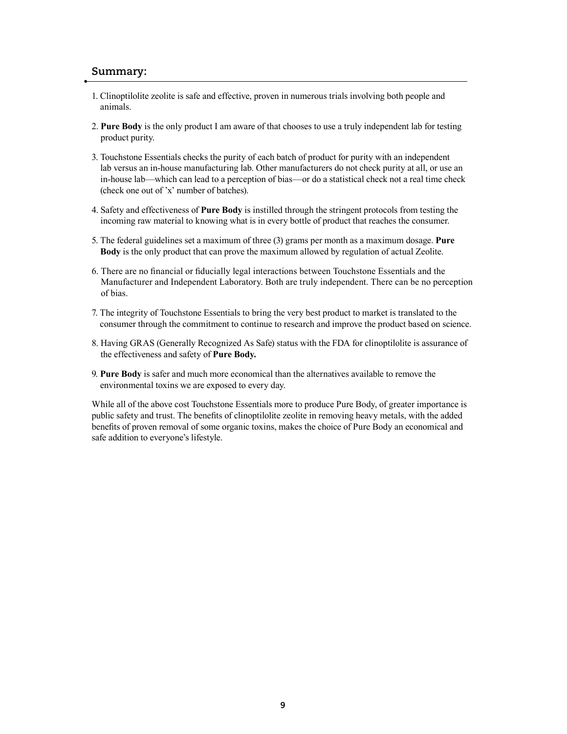### **Summary:**

- 1. Clinoptilolite zeolite is safe and effective, proven in numerous trials involving both people and animals.
- 2. **Pure Body** is the only product I am aware of that chooses to use a truly independent lab for testing product purity.
- 3. Touchstone Essentials checks the purity of each batch of product for purity with an independent lab versus an in-house manufacturing lab. Other manufacturers do not check purity at all, or use an in-house lab—which can lead to a perception of bias—or do a statistical check not a real time check (check one out of 'x' number of batches).
- 4. Safety and effectiveness of **Pure Body** is instilled through the stringent protocols from testing the incoming raw material to knowing what is in every bottle of product that reaches the consumer.
- 5. The federal guidelines set a maximum of three (3) grams per month as a maximum dosage. **Pure Body** is the only product that can prove the maximum allowed by regulation of actual Zeolite.
- 6. There are no financial or fiducially legal interactions between Touchstone Essentials and the Manufacturer and Independent Laboratory. Both are truly independent. There can be no perception of bias.
- 7. The integrity of Touchstone Essentials to bring the very best product to market is translated to the consumer through the commitment to continue to research and improve the product based on science.
- 8. Having GRAS (Generally Recognized As Safe) status with the FDA for clinoptilolite is assurance of the effectiveness and safety of **Pure Body.**
- 9. **Pure Body** is safer and much more economical than the alternatives available to remove the environmental toxins we are exposed to every day.

While all of the above cost Touchstone Essentials more to produce Pure Body, of greater importance is public safety and trust. The benefits of clinoptilolite zeolite in removing heavy metals, with the added benefits of proven removal of some organic toxins, makes the choice of Pure Body an economical and safe addition to everyone's lifestyle.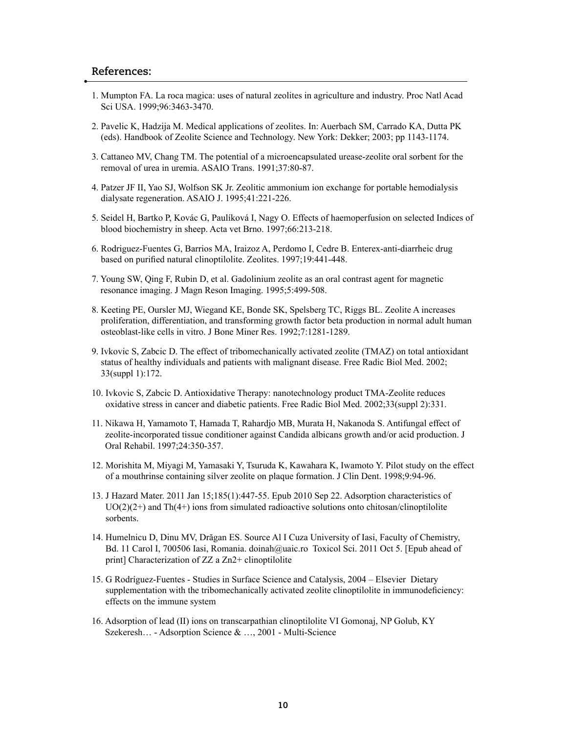## **References:**

- 1. Mumpton FA. La roca magica: uses of natural zeolites in agriculture and industry. Proc Natl Acad Sci USA. 1999;96:3463-3470.
- 2. Pavelic K, Hadzija M. Medical applications of zeolites. In: Auerbach SM, Carrado KA, Dutta PK (eds). Handbook of Zeolite Science and Technology. New York: Dekker; 2003; pp 1143-1174.
- 3. Cattaneo MV, Chang TM. The potential of a microencapsulated urease-zeolite oral sorbent for the removal of urea in uremia. ASAIO Trans. 1991;37:80-87.
- 4. Patzer JF II, Yao SJ, Wolfson SK Jr. Zeolitic ammonium ion exchange for portable hemodialysis dialysate regeneration. ASAIO J. 1995;41:221-226.
- 5. Seidel H, Bartko P, Kovác G, Paulíková I, Nagy O. Effects of haemoperfusion on selected Indices of blood biochemistry in sheep. Acta vet Brno. 1997;66:213-218.
- 6. Rodriguez-Fuentes G, Barrios MA, Iraizoz A, Perdomo I, Cedre B. Enterex-anti-diarrheic drug based on purified natural clinoptilolite. Zeolites. 1997;19:441-448.
- 7. Young SW, Qing F, Rubin D, et al. Gadolinium zeolite as an oral contrast agent for magnetic resonance imaging. J Magn Reson Imaging. 1995;5:499-508.
- 8. Keeting PE, Oursler MJ, Wiegand KE, Bonde SK, Spelsberg TC, Riggs BL. Zeolite A increases proliferation, differentiation, and transforming growth factor beta production in normal adult human osteoblast-like cells in vitro. J Bone Miner Res. 1992;7:1281-1289.
- 9. Ivkovic S, Zabcic D. The effect of tribomechanically activated zeolite (TMAZ) on total antioxidant status of healthy individuals and patients with malignant disease. Free Radic Biol Med. 2002; 33(suppl 1):172.
- 10. Ivkovic S, Zabcic D. Antioxidative Therapy: nanotechnology product TMA-Zeolite reduces oxidative stress in cancer and diabetic patients. Free Radic Biol Med. 2002;33(suppl 2):331.
- 11. Nikawa H, Yamamoto T, Hamada T, Rahardjo MB, Murata H, Nakanoda S. Antifungal effect of zeolite-incorporated tissue conditioner against Candida albicans growth and/or acid production. J Oral Rehabil. 1997;24:350-357.
- 12. Morishita M, Miyagi M, Yamasaki Y, Tsuruda K, Kawahara K, Iwamoto Y. Pilot study on the effect of a mouthrinse containing silver zeolite on plaque formation. J Clin Dent. 1998;9:94-96.
- 13. J Hazard Mater. 2011 Jan 15;185(1):447-55. Epub 2010 Sep 22. Adsorption characteristics of  $UO(2)(2+)$  and Th(4+) ions from simulated radioactive solutions onto chitosan/clinoptilolite sorbents.
- 14. Humelnicu D, Dinu MV, Drăgan ES. Source Al I Cuza University of Iasi, Faculty of Chemistry, Bd. 11 Carol I, 700506 Iasi, Romania. doinah@uaic.ro Toxicol Sci. 2011 Oct 5. [Epub ahead of print] Characterization of ZZ a Zn2+ clinoptilolite
- 15. G Rodríguez-Fuentes Studies in Surface Science and Catalysis, 2004 Elsevier Dietary supplementation with the tribomechanically activated zeolite clinoptilolite in immunodeficiency: effects on the immune system
- 16. Adsorption of lead (II) ions on transcarpathian clinoptilolite VI Gomonaj, NP Golub, KY Szekeresh… - Adsorption Science & …, 2001 - Multi-Science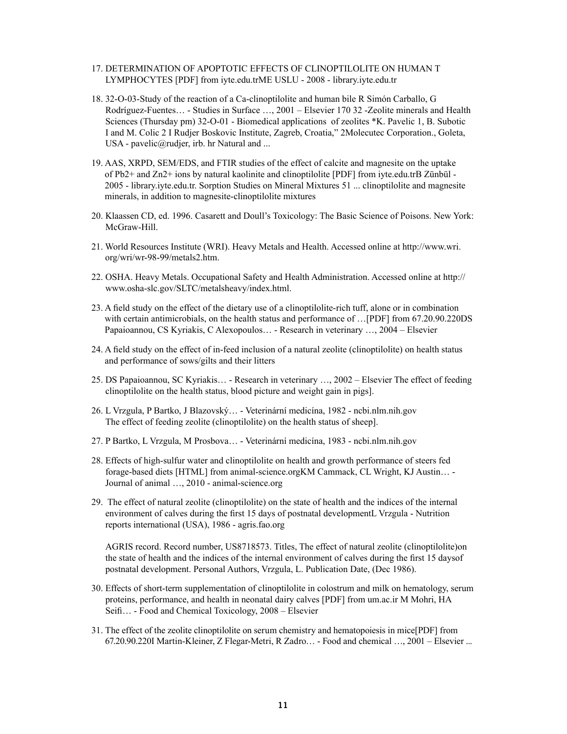- 17. DETERMINATION OF APOPTOTIC EFFECTS OF CLINOPTILOLITE ON HUMAN T LYMPHOCYTES [PDF] from iyte.edu.trME USLU - 2008 - library.iyte.edu.tr
- 18. 32-O-03-Study of the reaction of a Ca-clinoptilolite and human bile R Simón Carballo, G Rodríguez-Fuentes… - Studies in Surface …, 2001 – Elsevier 170 32 -Zeolite minerals and Health Sciences (Thursday pm) 32-O-01 - Biomedical applications of zeolites \*K. Pavelic 1, B. Subotic I and M. Colic 2 I Rudjer Boskovic Institute, Zagreb, Croatia," 2Molecutec Corporation., Goleta, USA - pavelic@rudjer, irb. hr Natural and ...
- 19. AAS, XRPD, SEM/EDS, and FTIR studies of the effect of calcite and magnesite on the uptake of Pb2+ and Zn2+ ions by natural kaolinite and clinoptilolite [PDF] from iyte.edu.trB Zünbül - 2005 - library.iyte.edu.tr. Sorption Studies on Mineral Mixtures 51 ... clinoptilolite and magnesite minerals, in addition to magnesite-clinoptilolite mixtures
- 20. Klaassen CD, ed. 1996. Casarett and Doull's Toxicology: The Basic Science of Poisons. New York: McGraw-Hill.
- 21. World Resources Institute (WRI). Heavy Metals and Health. Accessed online at http://www.wri. org/wri/wr-98-99/metals2.htm.
- 22. OSHA. Heavy Metals. Occupational Safety and Health Administration. Accessed online at http:// www.osha-slc.gov/SLTC/metalsheavy/index.html.
- 23. A field study on the effect of the dietary use of a clinoptilolite-rich tuff, alone or in combination with certain antimicrobials, on the health status and performance of ... [PDF] from 67.20.90.220DS Papaioannou, CS Kyriakis, C Alexopoulos… - Research in veterinary …, 2004 – Elsevier
- 24. A field study on the effect of in-feed inclusion of a natural zeolite (clinoptilolite) on health status and performance of sows/gilts and their litters
- 25. DS Papaioannou, SC Kyriakis… Research in veterinary …, 2002 Elsevier The effect of feeding clinoptilolite on the health status, blood picture and weight gain in pigs].
- 26. L Vrzgula, P Bartko, J Blazovský… Veterinární medicína, 1982 ncbi.nlm.nih.gov The effect of feeding zeolite (clinoptilolite) on the health status of sheep].
- 27. P Bartko, L Vrzgula, M Prosbova… Veterinární medicína, 1983 ncbi.nlm.nih.gov
- 28. Effects of high-sulfur water and clinoptilolite on health and growth performance of steers fed forage-based diets [HTML] from animal-science.orgKM Cammack, CL Wright, KJ Austin… - Journal of animal …, 2010 - animal-science.org
- 29. The effect of natural zeolite (clinoptilolite) on the state of health and the indices of the internal environment of calves during the first 15 days of postnatal developmentL Vrzgula - Nutrition reports international (USA), 1986 - agris.fao.org

AGRIS record. Record number, US8718573. Titles, The effect of natural zeolite (clinoptilolite)on the state of health and the indices of the internal environment of calves during the first 15 daysof postnatal development. Personal Authors, Vrzgula, L. Publication Date, (Dec 1986).

- 30. Effects of short-term supplementation of clinoptilolite in colostrum and milk on hematology, serum proteins, performance, and health in neonatal dairy calves [PDF] from um.ac.ir M Mohri, HA Seifi… - Food and Chemical Toxicology, 2008 – Elsevier
- 31. The effect of the zeolite clinoptilolite on serum chemistry and hematopoiesis in mice[PDF] from 67.20.90.220I Martin-Kleiner, Z Flegar-Metri, R Zadro… - Food and chemical …, 2001 – Elsevier ...